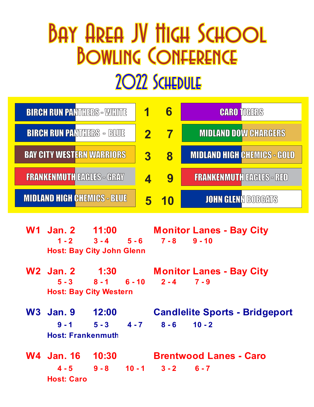## Bay Area JV High School BOWLING CONFERENCE 2022 Schedule

| <b>BIRCH RUN PANTHERS - WHITE</b>  |                            | 6         | <b>CARO TIGERS</b>                 |
|------------------------------------|----------------------------|-----------|------------------------------------|
| <b>BIRCH RUN PANTHERS - BLUE</b>   | $\boldsymbol{\mathcal{P}}$ |           | <b>MIDLAND DOW CHARGERS</b>        |
| <b>BAY CITY WESTERN WARRIORS</b>   | 3                          | 8         | <b>MIDLAND HIGH CHEMICS - GOLD</b> |
| <b>FRANKENMUTH EAGLES - GRAY</b>   |                            | 9         | <b>FRANKENMUTH EAGLES - RED</b>    |
| <b>MIDLAND HIGH CHEMICS - BLUE</b> |                            | <u>10</u> | <b>JOHN GLENN BOBGATS</b>          |

|  | <b>W1 Jan. 2 11:00</b>           |  |  | <b>Monitor Lanes - Bay City</b>          |                               |  |  |  |
|--|----------------------------------|--|--|------------------------------------------|-------------------------------|--|--|--|
|  |                                  |  |  | $1 - 2$ $3 - 4$ $5 - 6$ $7 - 8$ $9 - 10$ |                               |  |  |  |
|  | <b>Host: Bay City John Glenn</b> |  |  |                                          |                               |  |  |  |
|  |                                  |  |  | <b>Monitor Lanes - Bay City</b>          |                               |  |  |  |
|  |                                  |  |  | $5-3$ $8-1$ $6-10$ $2-4$ $7-9$           |                               |  |  |  |
|  | <b>Host: Bay City Western</b>    |  |  |                                          |                               |  |  |  |
|  | W <sub>3</sub> Jan. 9 12:00      |  |  | <b>Candlelite Sports - Bridgeport</b>    |                               |  |  |  |
|  |                                  |  |  | $9 - 1$ $5 - 3$ $4 - 7$ $8 - 6$ $10 - 2$ |                               |  |  |  |
|  | <b>Host: Frankenmuth</b>         |  |  |                                          |                               |  |  |  |
|  | W4 Jan. 16 10:30                 |  |  |                                          | <b>Brentwood Lanes - Caro</b> |  |  |  |
|  | <b>Host: Caro</b>                |  |  | $4-5$ $9-8$ $10-1$ $3-2$ $6-7$           |                               |  |  |  |